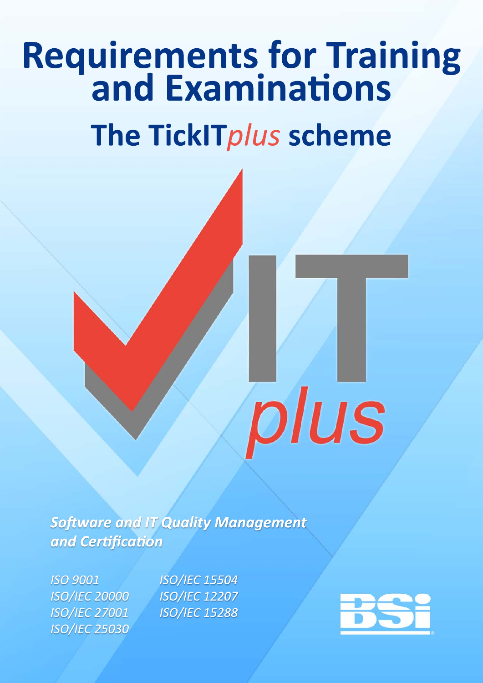# **Requirements for Training<br>and Examinations** The TickITplus scheme

**Software and IT Quality Management** and Certification

**ISO 9001 ISO/IEC 20000 ISO/IEC 27001 ISO/IEC 25030**  **ISO/IEC 15504 ISO/IEC 12207 ISO/IEC 15288** 



plus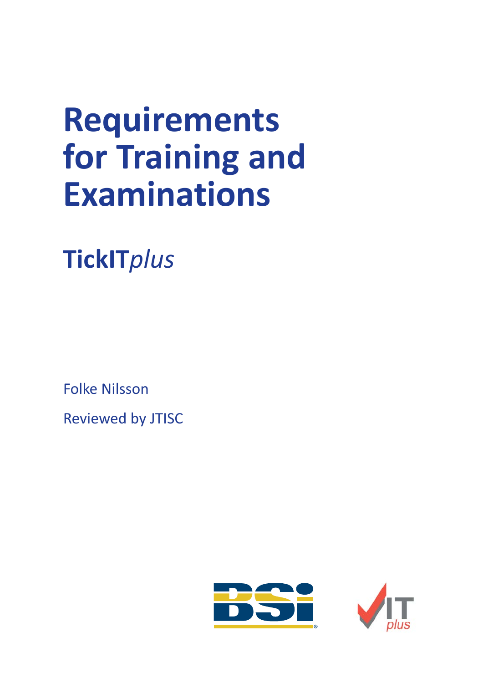# **Requirements for Training and Examinations**

**TickIT***plus*

Folke Nilsson

Reviewed by JTISC

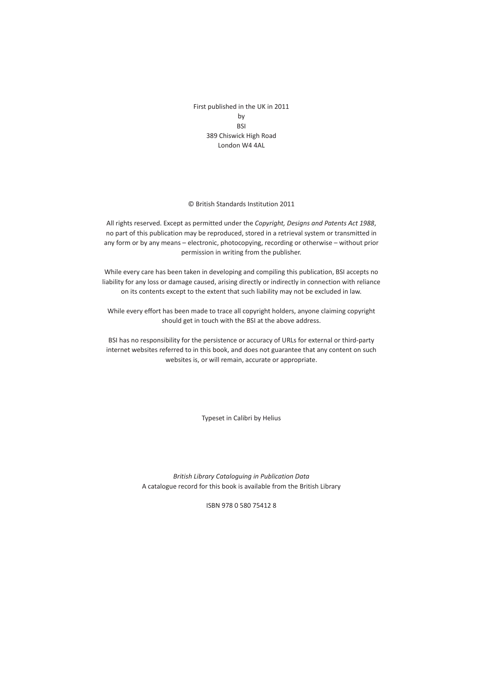First published in the UK in 2011 by BSI 389 Chiswick High Road London W4 4AL

© British Standards Institution 2011

All rights reserved. Except as permitted under the *Copyright, Designs and Patents Act 1988*, no part of this publication may be reproduced, stored in a retrieval system or transmitted in any form or by any means – electronic, photocopying, recording or otherwise – without prior permission in writing from the publisher.

While every care has been taken in developing and compiling this publication, BSI accepts no liability for any loss or damage caused, arising directly or indirectly in connection with reliance on its contents except to the extent that such liability may not be excluded in law.

While every effort has been made to trace all copyright holders, anyone claiming copyright should get in touch with the BSI at the above address.

BSI has no responsibility for the persistence or accuracy of URLs for external or third-party internet websites referred to in this book, and does not guarantee that any content on such websites is, or will remain, accurate or appropriate.

Typeset in Calibri by Helius

*British Library Cataloguing in Publication Data* A catalogue record for this book is available from the British Library

ISBN 978 0 580 75412 8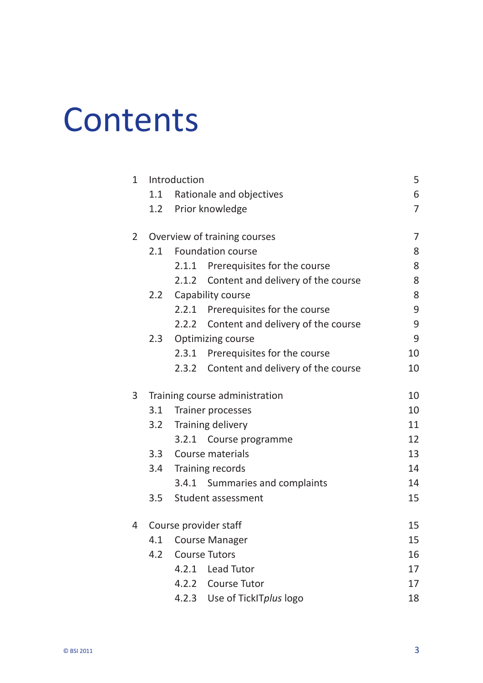# **Contents**

|  | $\mathbf{1}$   | Introduction                   |                          |                                    |                |
|--|----------------|--------------------------------|--------------------------|------------------------------------|----------------|
|  |                | 1.1                            |                          | Rationale and objectives           | 6              |
|  |                | 1.2                            |                          | Prior knowledge                    | $\overline{7}$ |
|  | $\overline{2}$ | Overview of training courses   |                          |                                    | $\overline{7}$ |
|  |                | 2.1                            | <b>Foundation course</b> |                                    | 8              |
|  |                |                                | 2.1.1                    | Prerequisites for the course       | 8              |
|  |                |                                | 2.1.2                    | Content and delivery of the course | 8              |
|  |                | 2.2                            | Capability course        |                                    | 8              |
|  |                |                                | 2.2.1                    | Prerequisites for the course       | 9              |
|  |                |                                | 2.2.2                    | Content and delivery of the course | 9              |
|  |                | 2.3                            | <b>Optimizing course</b> |                                    | 9              |
|  |                |                                | 2.3.1                    | Prerequisites for the course       | 10             |
|  |                |                                | 2.3.2                    | Content and delivery of the course | 10             |
|  | 3              | Training course administration |                          |                                    | 10             |
|  |                | 3.1                            | Trainer processes        | 10                                 |                |
|  |                | 3.2                            | Training delivery        |                                    | 11             |
|  |                |                                | 3.2.1                    | Course programme                   | 12             |
|  |                | 3.3                            | Course materials         |                                    |                |
|  |                | 3.4                            | Training records         |                                    | 14             |
|  |                |                                |                          | 3.4.1 Summaries and complaints     | 14             |
|  |                | 3.5                            |                          | Student assessment                 | 15             |
|  | 4              | Course provider staff          |                          |                                    | 15             |
|  |                |                                | 4.1 Course Manager       |                                    |                |
|  |                | 4.2                            |                          | <b>Course Tutors</b>               | 16             |
|  |                |                                | 4.2.1                    | Lead Tutor                         | 17             |
|  |                |                                | 4.2.2                    | <b>Course Tutor</b>                | 17             |
|  |                |                                | 4.2.3                    | Use of TickITplus logo             | 18             |
|  |                |                                |                          |                                    |                |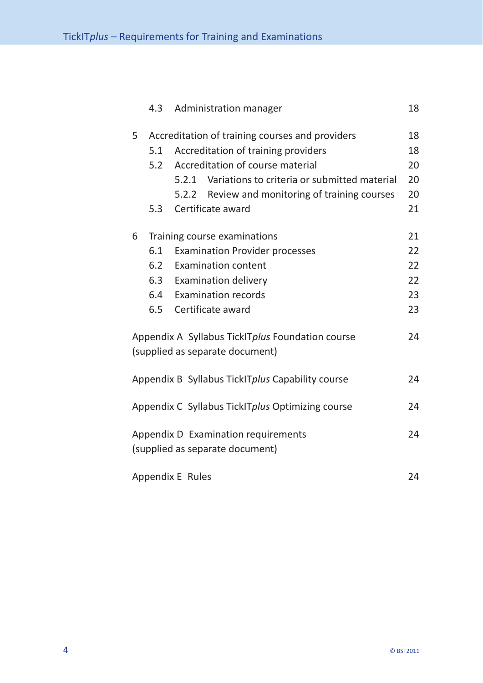|                                                                              | 4.3 | Administration manager                             | 18 |  |  |
|------------------------------------------------------------------------------|-----|----------------------------------------------------|----|--|--|
| 5                                                                            |     | Accreditation of training courses and providers    |    |  |  |
|                                                                              | 5.1 | Accreditation of training providers                | 18 |  |  |
|                                                                              | 5.2 | Accreditation of course material                   | 20 |  |  |
|                                                                              |     | 5.2.1 Variations to criteria or submitted material | 20 |  |  |
|                                                                              |     | Review and monitoring of training courses<br>5.2.2 | 20 |  |  |
|                                                                              | 5.3 | Certificate award                                  | 21 |  |  |
| 6                                                                            |     | Training course examinations                       |    |  |  |
|                                                                              | 6.1 | <b>Examination Provider processes</b>              | 22 |  |  |
|                                                                              | 6.2 | <b>Examination content</b>                         | 22 |  |  |
|                                                                              | 6.3 | <b>Examination delivery</b>                        | 22 |  |  |
|                                                                              | 6.4 | <b>Examination records</b>                         | 23 |  |  |
|                                                                              | 6.5 | Certificate award                                  | 23 |  |  |
| Appendix A Syllabus TickITplus Foundation course<br>24                       |     |                                                    |    |  |  |
|                                                                              |     | (supplied as separate document)                    |    |  |  |
|                                                                              |     | Appendix B Syllabus TickITplus Capability course   | 24 |  |  |
|                                                                              |     | Appendix C Syllabus TickITplus Optimizing course   | 24 |  |  |
| Appendix D Examination requirements<br>24<br>(supplied as separate document) |     |                                                    |    |  |  |
| Appendix E Rules<br>24                                                       |     |                                                    |    |  |  |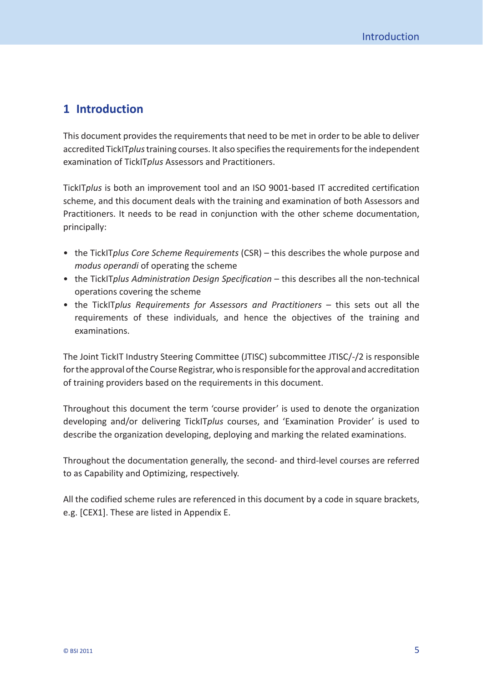# <span id="page-5-0"></span>**1 Introduction**

This document provides the requirements that need to be met in order to be able to deliver accredited TickIT*plus* training courses. It also specifies the requirements for the independent examination of TickIT*plus* Assessors and Practitioners.

TickIT*plus* is both an improvement tool and an ISO 9001-based IT accredited certification scheme, and this document deals with the training and examination of both Assessors and Practitioners. It needs to be read in conjunction with the other scheme documentation, principally:

- the TickIT*plus Core Scheme Requirements* (CSR) this describes the whole purpose and *modus operandi* of operating the scheme
- the TickIT*plus Administration Design Specification* this describes all the non- technical operations covering the scheme
- the TickIT*plus Requirements for Assessors and Practitioners* this sets out all the requirements of these individuals, and hence the objectives of the training and examinations.

The Joint TickIT Industry Steering Committee (JTISC) subcommittee JTISC/-/2 is responsible for the approval of the Course Registrar, who is responsible for the approval and accreditation of training providers based on the requirements in this document.

Throughout this document the term 'course provider' is used to denote the organization developing and/or delivering TickIT*plus* courses, and 'Examination Provider' is used to describe the organization developing, deploying and marking the related examinations.

Throughout the documentation generally, the second- and third- level courses are referred to as Capability and Optimizing, respectively.

All the codified scheme rules are referenced in this document by a code in square brackets, e.g. [CEX1]. These are listed in Appendix E.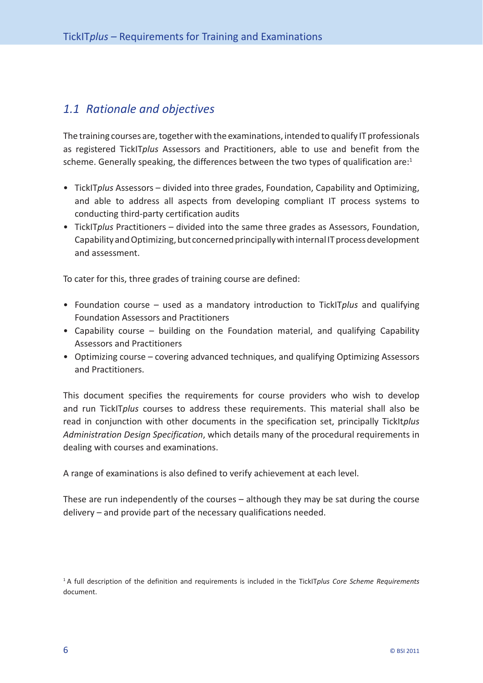# <span id="page-6-0"></span>*1.1 Rationale and objectives*

The training courses are, together with the examinations, intended to qualify IT professionals as registered TickIT*plus* Assessors and Practitioners, able to use and benefit from the scheme. Generally speaking, the differences between the two types of qualification are:<sup>1</sup>

- TickIT*plus* Assessors divided into three grades, Foundation, Capability and Optimizing, and able to address all aspects from developing compliant IT process systems to conducting third- party certification audits
- TickIT*plus* Practitioners divided into the same three grades as Assessors, Foundation, Capability and Optimizing, but concerned principally with internal IT process development and assessment.

To cater for this, three grades of training course are defined:

- Foundation course used as a mandatory introduction to TickIT*plus* and qualifying Foundation Assessors and Practitioners
- Capability course building on the Foundation material, and qualifying Capability Assessors and Practitioners
- Optimizing course covering advanced techniques, and qualifying Optimizing Assessors and Practitioners.

This document specifies the requirements for course providers who wish to develop and run TickIT*plus* courses to address these requirements. This material shall also be read in conjunction with other documents in the specification set, principally TickIt*plus Administration Design Specification*, which details many of the procedural requirements in dealing with courses and examinations.

A range of examinations is also defined to verify achievement at each level.

These are run independently of the courses – although they may be sat during the course delivery – and provide part of the necessary qualifications needed.

<sup>1</sup> A full description of the definition and requirements is included in the TickIT*plus Core Scheme Requirements* document.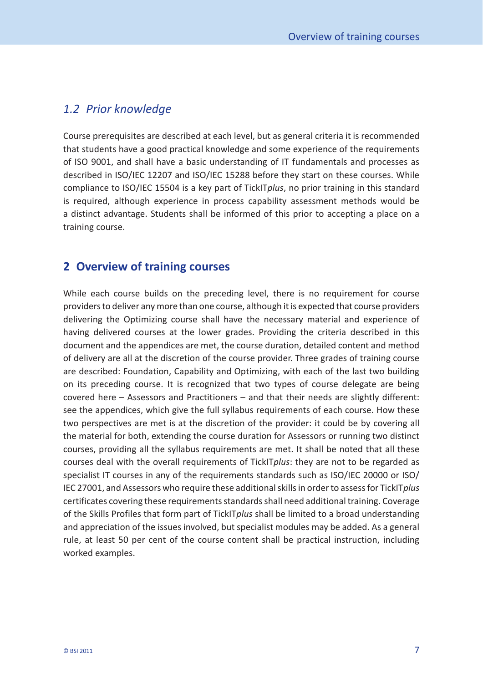#### <span id="page-7-0"></span>*1.2 Prior knowledge*

Course prerequisites are described at each level, but as general criteria it is recommended that students have a good practical knowledge and some experience of the requirements of ISO 9001, and shall have a basic understanding of IT fundamentals and processes as described in ISO/IEC 12207 and ISO/IEC 15288 before they start on these courses. While compliance to ISO/IEC 15504 is a key part of TickIT*plus*, no prior training in this standard is required, although experience in process capability assessment methods would be a distinct advantage. Students shall be informed of this prior to accepting a place on a training course.

### **2 Overview of training courses**

While each course builds on the preceding level, there is no requirement for course providers to deliver any more than one course, although it is expected that course providers delivering the Optimizing course shall have the necessary material and experience of having delivered courses at the lower grades. Providing the criteria described in this document and the appendices are met, the course duration, detailed content and method of delivery are all at the discretion of the course provider. Three grades of training course are described: Foundation, Capability and Optimizing, with each of the last two building on its preceding course. It is recognized that two types of course delegate are being covered here – Assessors and Practitioners – and that their needs are slightly different: see the appendices, which give the full syllabus requirements of each course. How these two perspectives are met is at the discretion of the provider: it could be by covering all the material for both, extending the course duration for Assessors or running two distinct courses, providing all the syllabus requirements are met. It shall be noted that all these courses deal with the overall requirements of TickIT*plus*: they are not to be regarded as specialist IT courses in any of the requirements standards such as ISO/IEC 20000 or ISO/ IEC 27001, and Assessors who require these additional skills in order to assess for TickIT*plus* certificates covering these requirements standards shall need additional training. Coverage of the Skills Profiles that form part of TickIT*plus* shall be limited to a broad understanding and appreciation of the issues involved, but specialist modules may be added. As a general rule, at least 50 per cent of the course content shall be practical instruction, including worked examples.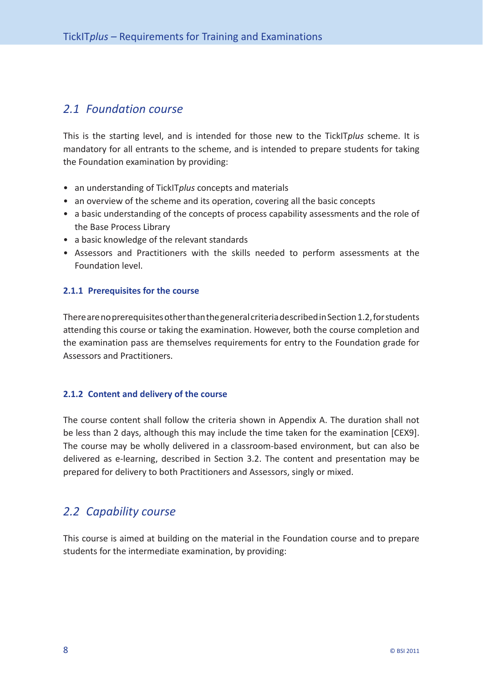# <span id="page-8-0"></span>*2.1 Foundation course*

This is the starting level, and is intended for those new to the TickIT*plus* scheme. It is mandatory for all entrants to the scheme, and is intended to prepare students for taking the Foundation examination by providing:

- an understanding of TickIT*plus* concepts and materials
- an overview of the scheme and its operation, covering all the basic concepts
- a basic understanding of the concepts of process capability assessments and the role of the Base Process Library
- a basic knowledge of the relevant standards
- Assessors and Practitioners with the skills needed to perform assessments at the Foundation level.

#### **2.1.1 Prerequisites for the course**

There are no prerequisites other than the general criteria described in [Section 1.2,](#page-7-0) for students attending this course or taking the examination. However, both the course completion and the examination pass are themselves requirements for entry to the Foundation grade for Assessors and Practitioners.

#### **2.1.2 Content and delivery of the course**

The course content shall follow the criteria shown in Appendix A. The duration shall not be less than 2 days, although this may include the time taken for the examination [CEX9]. The course may be wholly delivered in a classroom- based environment, but can also be delivered as e- learning, described in [Section 3.2.](#page-11-0) The content and presentation may be prepared for delivery to both Practitioners and Assessors, singly or mixed.

# *2.2 Capability course*

This course is aimed at building on the material in the Foundation course and to prepare students for the intermediate examination, by providing: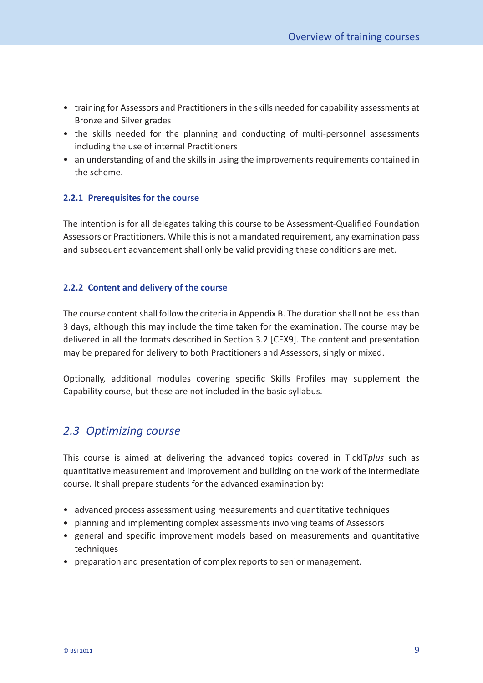- <span id="page-9-0"></span>• training for Assessors and Practitioners in the skills needed for capability assessments at Bronze and Silver grades
- the skills needed for the planning and conducting of multi-personnel assessments including the use of internal Practitioners
- an understanding of and the skills in using the improvements requirements contained in the scheme.

#### **2.2.1 Prerequisites for the course**

The intention is for all delegates taking this course to be Assessment- Qualified Foundation Assessors or Practitioners. While this is not a mandated requirement, any examination pass and subsequent advancement shall only be valid providing these conditions are met.

#### **2.2.2 Content and delivery of the course**

The course content shall follow the criteria in Appendix B. The duration shall not be less than 3 days, although this may include the time taken for the examination. The course may be delivered in all the formats described in [Section 3.2](#page-11-0) [CEX9]. The content and presentation may be prepared for delivery to both Practitioners and Assessors, singly or mixed.

Optionally, additional modules covering specific Skills Profiles may supplement the Capability course, but these are not included in the basic syllabus.

# *2.3 Optimizing course*

This course is aimed at delivering the advanced topics covered in TickIT*plus* such as quantitative measurement and improvement and building on the work of the intermediate course. It shall prepare students for the advanced examination by:

- advanced process assessment using measurements and quantitative techniques
- planning and implementing complex assessments involving teams of Assessors
- general and specific improvement models based on measurements and quantitative techniques
- preparation and presentation of complex reports to senior management.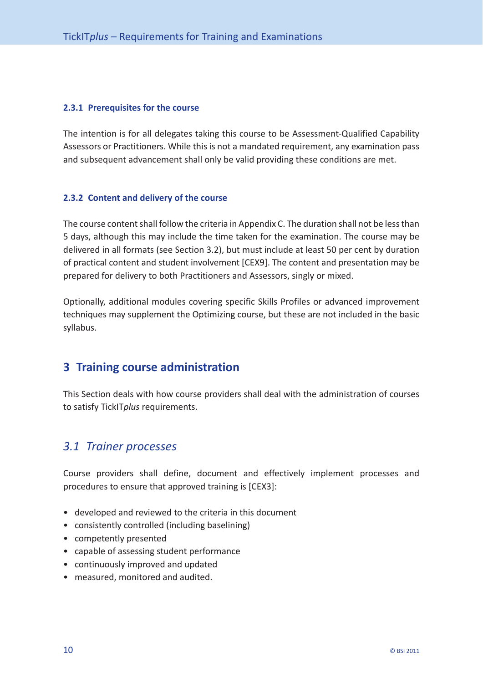#### <span id="page-10-0"></span>**2.3.1 Prerequisites for the course**

The intention is for all delegates taking this course to be Assessment- Qualified Capability Assessors or Practitioners. While this is not a mandated requirement, any examination pass and subsequent advancement shall only be valid providing these conditions are met.

#### **2.3.2 Content and delivery of the course**

The course content shall follow the criteria in Appendix C. The duration shall not be less than 5 days, although this may include the time taken for the examination. The course may be delivered in all formats (see [Section 3.2\),](#page-11-0) but must include at least 50 per cent by duration of practical content and student involvement [CEX9]. The content and presentation may be prepared for delivery to both Practitioners and Assessors, singly or mixed.

Optionally, additional modules covering specific Skills Profiles or advanced improvement techniques may supplement the Optimizing course, but these are not included in the basic syllabus.

# **3 Training course administration**

This Section deals with how course providers shall deal with the administration of courses to satisfy TickIT*plus* requirements.

### *3.1 Trainer processes*

Course providers shall define, document and effectively implement processes and procedures to ensure that approved training is [CEX3]:

- developed and reviewed to the criteria in this document
- consistently controlled (including baselining)
- competently presented
- capable of assessing student performance
- continuously improved and updated
- measured, monitored and audited.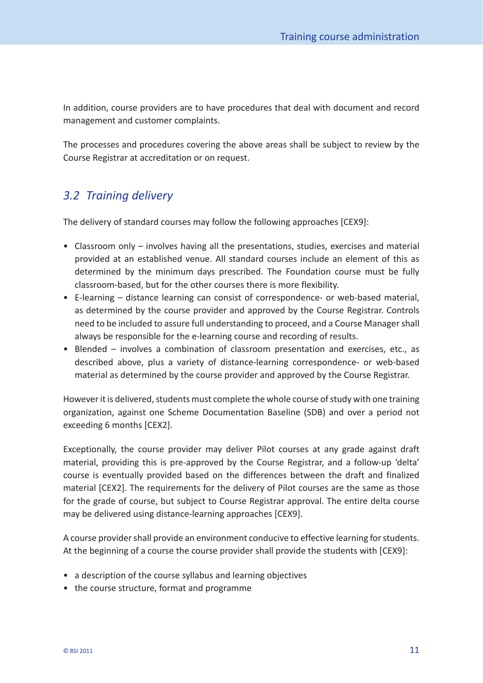<span id="page-11-0"></span>In addition, course providers are to have procedures that deal with document and record management and customer complaints.

The processes and procedures covering the above areas shall be subject to review by the Course Registrar at accreditation or on request.

# *3.2 Training delivery*

The delivery of standard courses may follow the following approaches [CEX9]:

- Classroom only involves having all the presentations, studies, exercises and material provided at an established venue. All standard courses include an element of this as determined by the minimum days prescribed. The Foundation course must be fully classroom-based, but for the other courses there is more flexibility.
- E-learning distance learning can consist of correspondence- or web-based material, as determined by the course provider and approved by the Course Registrar. Controls need to be included to assure full understanding to proceed, and a Course Manager shall always be responsible for the e- learning course and recording of results.
- Blended involves a combination of classroom presentation and exercises, etc., as described above, plus a variety of distance-learning correspondence- or web-based material as determined by the course provider and approved by the Course Registrar.

However it is delivered, students must complete the whole course of study with one training organization, against one Scheme Documentation Baseline (SDB) and over a period not exceeding 6 months [CEX2].

Exceptionally, the course provider may deliver Pilot courses at any grade against draft material, providing this is pre-approved by the Course Registrar, and a follow-up 'delta' course is eventually provided based on the differences between the draft and finalized material [CEX2]. The requirements for the delivery of Pilot courses are the same as those for the grade of course, but subject to Course Registrar approval. The entire delta course may be delivered using distance- learning approaches [CEX9].

A course provider shall provide an environment conducive to effective learning for students. At the beginning of a course the course provider shall provide the students with [CEX9]:

- a description of the course syllabus and learning objectives
- the course structure, format and programme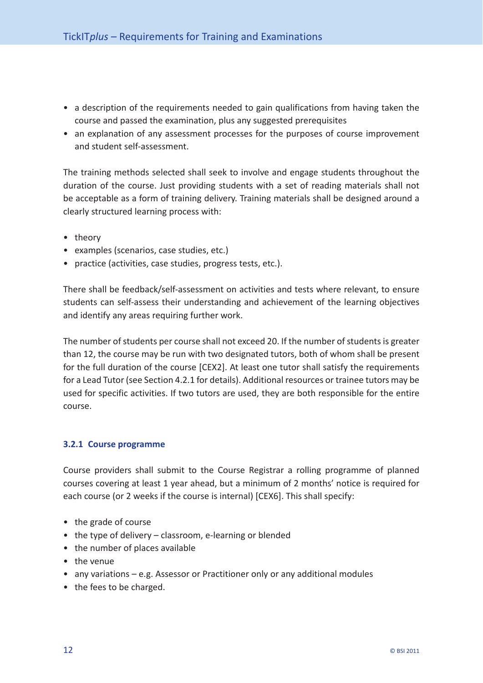- <span id="page-12-0"></span>• a description of the requirements needed to gain qualifications from having taken the course and passed the examination, plus any suggested prerequisites
- an explanation of any assessment processes for the purposes of course improvement and student self-assessment.

The training methods selected shall seek to involve and engage students throughout the duration of the course. Just providing students with a set of reading materials shall not be acceptable as a form of training delivery. Training materials shall be designed around a clearly structured learning process with:

- theory
- examples (scenarios, case studies, etc.)
- practice (activities, case studies, progress tests, etc.).

There shall be feedback /self- assessment on activities and tests where relevant, to ensure students can self-assess their understanding and achievement of the learning objectives and identify any areas requiring further work.

The number of students per course shall not exceed 20. If the number of students is greater than 12, the course may be run with two designated tutors, both of whom shall be present for the full duration of the course [CEX2]. At least one tutor shall satisfy the requirements for a Lead Tutor (see [Section 4.2.1](#page-17-0) for details). Additional resources or trainee tutors may be used for specific activities. If two tutors are used, they are both responsible for the entire course.

#### **3.2.1 Course programme**

Course providers shall submit to the Course Registrar a rolling programme of planned courses covering at least 1 year ahead, but a minimum of 2 months' notice is required for each course (or 2 weeks if the course is internal) [CEX6]. This shall specify:

- the grade of course
- the type of delivery classroom, e-learning or blended
- the number of places available
- the venue
- any variations e.g. Assessor or Practitioner only or any additional modules
- the fees to be charged.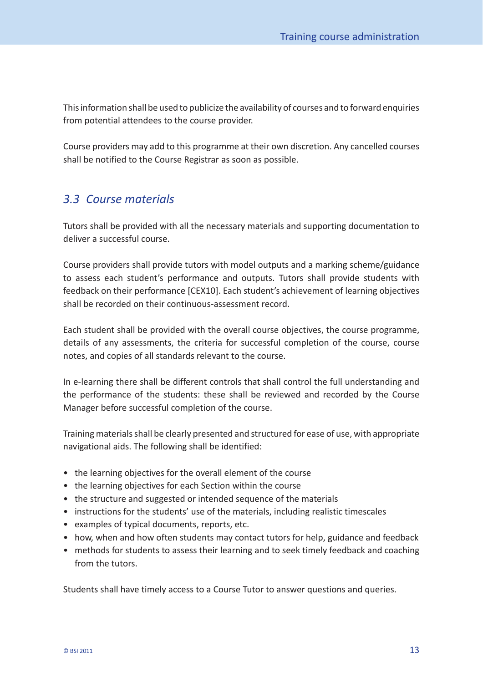<span id="page-13-0"></span>This information shall be used to publicize the availability of courses and to forward enquiries from potential attendees to the course provider.

Course providers may add to this programme at their own discretion. Any cancelled courses shall be notified to the Course Registrar as soon as possible.

# *3.3 Course materials*

Tutors shall be provided with all the necessary materials and supporting documentation to deliver a successful course.

Course providers shall provide tutors with model outputs and a marking scheme/guidance to assess each student's performance and outputs. Tutors shall provide students with feedback on their performance [CEX10]. Each student's achievement of learning objectives shall be recorded on their continuous-assessment record.

Each student shall be provided with the overall course objectives, the course programme, details of any assessments, the criteria for successful completion of the course, course notes, and copies of all standards relevant to the course.

In e- learning there shall be different controls that shall control the full understanding and the performance of the students: these shall be reviewed and recorded by the Course Manager before successful completion of the course.

Training materials shall be clearly presented and structured for ease of use, with appropriate navigational aids. The following shall be identified:

- the learning objectives for the overall element of the course
- the learning objectives for each Section within the course
- the structure and suggested or intended sequence of the materials
- instructions for the students' use of the materials, including realistic timescales
- examples of typical documents, reports, etc.
- how, when and how often students may contact tutors for help, guidance and feedback
- methods for students to assess their learning and to seek timely feedback and coaching from the tutors.

Students shall have timely access to a Course Tutor to answer questions and queries.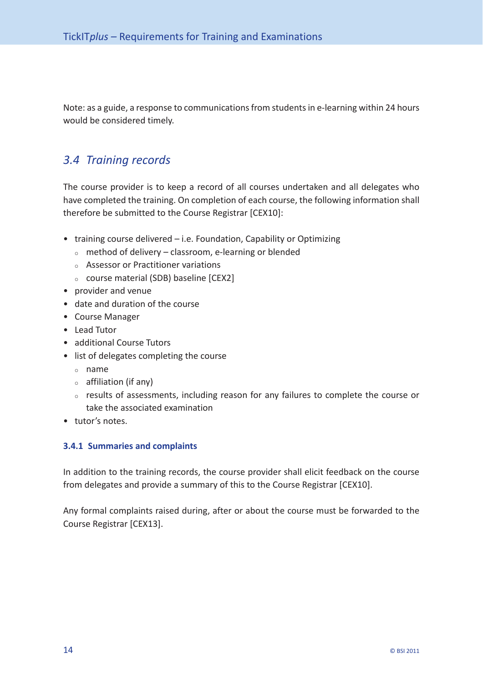<span id="page-14-0"></span>Note: as a guide, a response to communications from students in e- learning within 24 hours would be considered timely.

# *3.4 Training records*

The course provider is to keep a record of all courses undertaken and all delegates who have completed the training. On completion of each course, the following information shall therefore be submitted to the Course Registrar [CEX10]:

- training course delivered i.e. Foundation, Capability or Optimizing
	- $\circ$  method of delivery classroom, e-learning or blended
	- $\circ$  Assessor or Practitioner variations
	- $\circ$  course material (SDB) baseline [CEX2]
- provider and venue
- date and duration of the course
- Course Manager
- Lead Tutor
- additional Course Tutors
- list of delegates completing the course
	- $\circ$  name
	- $\circ$  affiliation (if any)
	- $\circ$  results of assessments, including reason for any failures to complete the course or take the associated examination
- tutor's notes.

#### **3.4.1 Summaries and complaints**

In addition to the training records, the course provider shall elicit feedback on the course from delegates and provide a summary of this to the Course Registrar [CEX10].

Any formal complaints raised during, after or about the course must be forwarded to the Course Registrar [CEX13].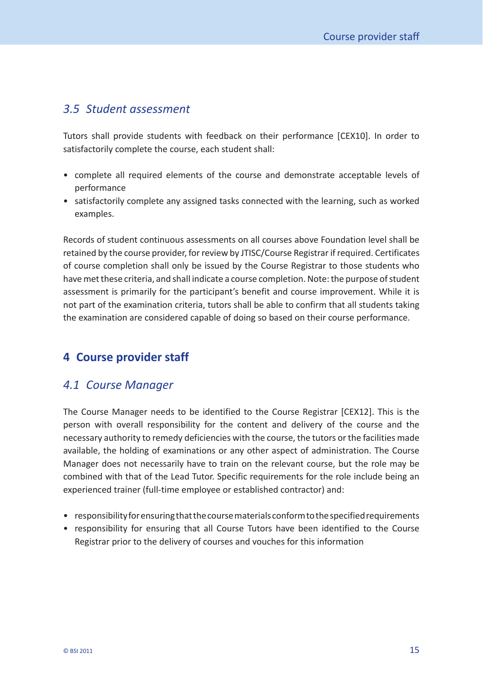# <span id="page-15-0"></span>*3.5 Student assessment*

Tutors shall provide students with feedback on their performance [CEX10]. In order to satisfactorily complete the course, each student shall:

- complete all required elements of the course and demonstrate acceptable levels of performance
- satisfactorily complete any assigned tasks connected with the learning, such as worked examples.

Records of student continuous assessments on all courses above Foundation level shall be retained by the course provider, for review by JTISC/Course Registrar if required. Certificates of course completion shall only be issued by the Course Registrar to those students who have met these criteria, and shall indicate a course completion. Note: the purpose of student assessment is primarily for the participant's benefit and course improvement. While it is not part of the examination criteria, tutors shall be able to confirm that all students taking the examination are considered capable of doing so based on their course performance.

# **4 Course provider staff**

#### *4.1 Course Manager*

The Course Manager needs to be identified to the Course Registrar [CEX12]. This is the person with overall responsibility for the content and delivery of the course and the necessary authority to remedy deficiencies with the course, the tutors or the facilities made available, the holding of examinations or any other aspect of administration. The Course Manager does not necessarily have to train on the relevant course, but the role may be combined with that of the Lead Tutor. Specific requirements for the role include being an experienced trainer (full-time employee or established contractor) and:

- responsibility for ensuring that the course materials conform to the specified requirements
- responsibility for ensuring that all Course Tutors have been identified to the Course Registrar prior to the delivery of courses and vouches for this information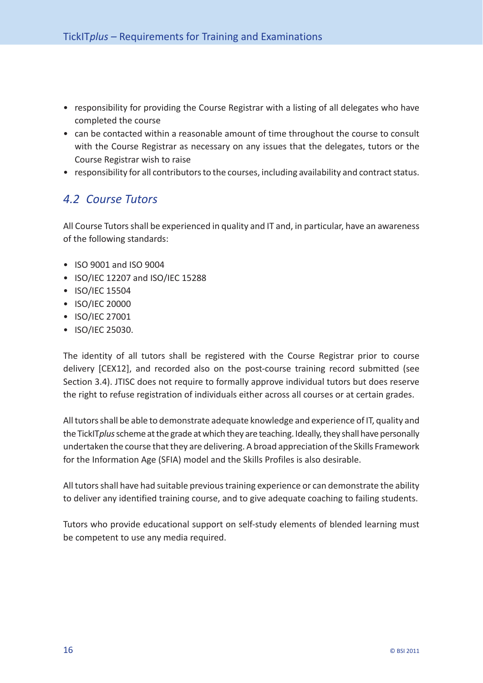- <span id="page-16-0"></span>• responsibility for providing the Course Registrar with a listing of all delegates who have completed the course
- can be contacted within a reasonable amount of time throughout the course to consult with the Course Registrar as necessary on any issues that the delegates, tutors or the Course Registrar wish to raise
- responsibility for all contributors to the courses, including availability and contract status.

# *4.2 Course Tutors*

All Course Tutors shall be experienced in quality and IT and, in particular, have an awareness of the following standards:

- ISO 9001 and ISO 9004
- ISO/IEC 12207 and ISO/IEC 15288
- ISO/IEC 15504
- ISO/IEC 20000
- ISO/IEC 27001
- ISO/IEC 25030.

The identity of all tutors shall be registered with the Course Registrar prior to course delivery [CEX12], and recorded also on the post-course training record submitted (see [Section 3.4](#page-14-0)). JTISC does not require to formally approve individual tutors but does reserve the right to refuse registration of individuals either across all courses or at certain grades.

All tutors shall be able to demonstrate adequate knowledge and experience of IT, quality and the TickIT*plus* scheme at the grade at which they are teaching. Ideally, they shall have personally undertaken the course that they are delivering. A broad appreciation of the Skills Framework for the Information Age (SFIA) model and the Skills Profiles is also desirable.

All tutors shall have had suitable previous training experience or can demonstrate the ability to deliver any identified training course, and to give adequate coaching to failing students.

Tutors who provide educational support on self- study elements of blended learning must be competent to use any media required.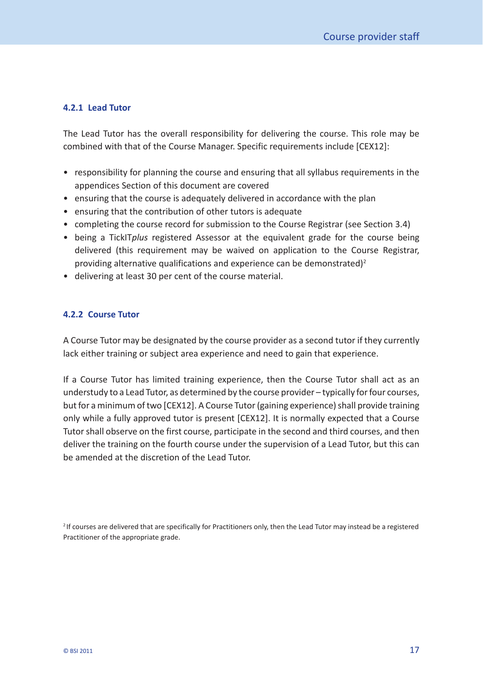#### <span id="page-17-0"></span>**4.2.1 Lead Tutor**

The Lead Tutor has the overall responsibility for delivering the course. This role may be combined with that of the Course Manager. Specific requirements include [CEX12]:

- responsibility for planning the course and ensuring that all syllabus requirements in the appendices Section of this document are covered
- ensuring that the course is adequately delivered in accordance with the plan
- ensuring that the contribution of other tutors is adequate
- completing the course record for submission to the Course Registrar (see [Section 3.4\)](#page-14-0)
- being a TickIT*plus* registered Assessor at the equivalent grade for the course being delivered (this requirement may be waived on application to the Course Registrar, providing alternative qualifications and experience can be demonstrated)<sup>2</sup>
- delivering at least 30 per cent of the course material.

#### **4.2.2 Course Tutor**

A Course Tutor may be designated by the course provider as a second tutor if they currently lack either training or subject area experience and need to gain that experience.

If a Course Tutor has limited training experience, then the Course Tutor shall act as an understudy to a Lead Tutor, as determined by the course provider – typically for four courses, but for a minimum of two [CEX12]. A Course Tutor (gaining experience) shall provide training only while a fully approved tutor is present [CEX12]. It is normally expected that a Course Tutor shall observe on the first course, participate in the second and third courses, and then deliver the training on the fourth course under the supervision of a Lead Tutor, but this can be amended at the discretion of the Lead Tutor.

<sup>2</sup> If courses are delivered that are specifically for Practitioners only, then the Lead Tutor may instead be a registered Practitioner of the appropriate grade.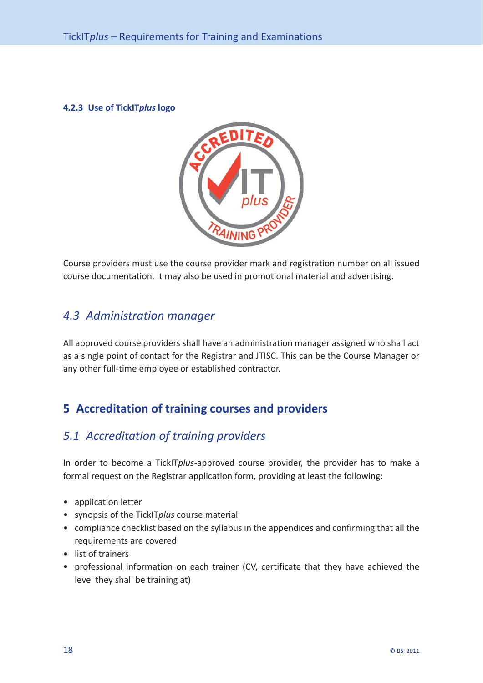<span id="page-18-0"></span>**4.2.3 Use of TickIT***plus* **logo**



Course providers must use the course provider mark and registration number on all issued course documentation. It may also be used in promotional material and advertising.

# *4.3 Administration manager*

All approved course providers shall have an administration manager assigned who shall act as a single point of contact for the Registrar and JTISC. This can be the Course Manager or any other full-time employee or established contractor.

# **5 Accreditation of training courses and providers**

# *5.1 Accreditation of training providers*

In order to become a TickIT*plus*- approved course provider, the provider has to make a formal request on the Registrar application form, providing at least the following:

- application letter
- synopsis of the TickIT*plus* course material
- compliance checklist based on the syllabus in the appendices and confirming that all the requirements are covered
- list of trainers
- professional information on each trainer (CV, certificate that they have achieved the level they shall be training at)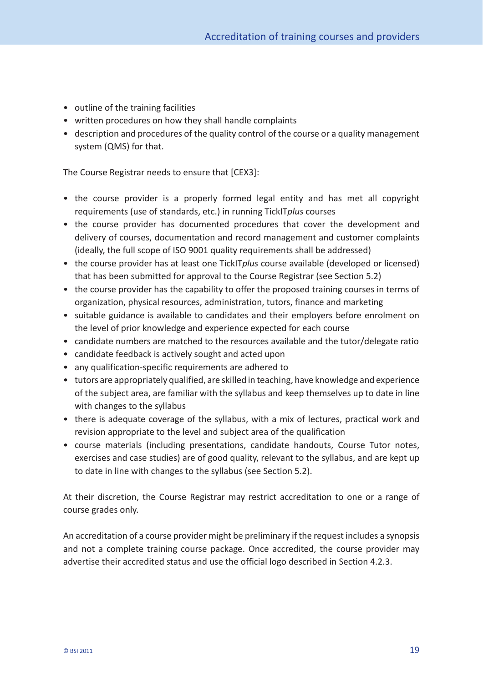- outline of the training facilities
- written procedures on how they shall handle complaints
- description and procedures of the quality control of the course or a quality management system (QMS) for that.

The Course Registrar needs to ensure that [CEX3]:

- the course provider is a properly formed legal entity and has met all copyright requirements (use of standards, etc.) in running TickIT*plus* courses
- the course provider has documented procedures that cover the development and delivery of courses, documentation and record management and customer complaints (ideally, the full scope of ISO 9001 quality requirements shall be addressed)
- the course provider has at least one TickIT*plus* course available (developed or licensed) that has been submitted for approval to the Course Registrar (see [Section 5.2\)](#page-20-0)
- the course provider has the capability to offer the proposed training courses in terms of organization, physical resources, administration, tutors, finance and marketing
- suitable guidance is available to candidates and their employers before enrolment on the level of prior knowledge and experience expected for each course
- candidate numbers are matched to the resources available and the tutor/delegate ratio
- candidate feedback is actively sought and acted upon
- any qualification-specific requirements are adhered to
- tutors are appropriately qualified, are skilled in teaching, have knowledge and experience of the subject area, are familiar with the syllabus and keep themselves up to date in line with changes to the syllabus
- there is adequate coverage of the syllabus, with a mix of lectures, practical work and revision appropriate to the level and subject area of the qualification
- course materials (including presentations, candidate handouts, Course Tutor notes, exercises and case studies) are of good quality, relevant to the syllabus, and are kept up to date in line with changes to the syllabus (see [Section 5.2\).](#page-20-0)

At their discretion, the Course Registrar may restrict accreditation to one or a range of course grades only.

An accreditation of a course provider might be preliminary if the request includes a synopsis and not a complete training course package. Once accredited, the course provider may advertise their accredited status and use the official logo described in [Section 4.2.3.](#page-18-0)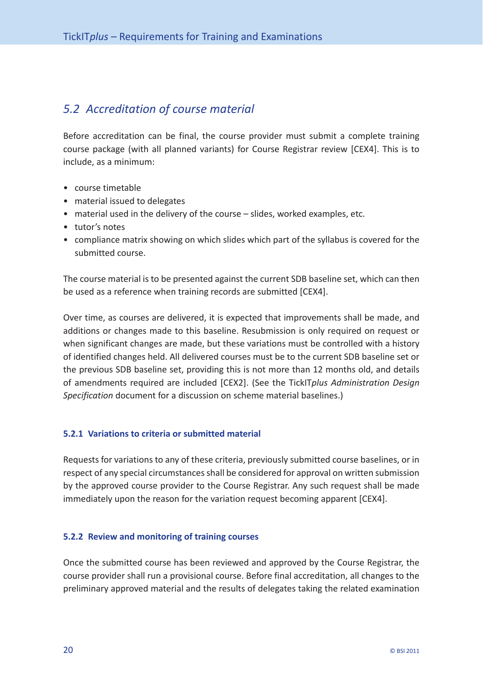# <span id="page-20-0"></span>*5.2 Accreditation of course material*

Before accreditation can be final, the course provider must submit a complete training course package (with all planned variants) for Course Registrar review [CEX4]. This is to include, as a minimum:

- course timetable
- material issued to delegates
- material used in the delivery of the course slides, worked examples, etc.
- tutor's notes
- compliance matrix showing on which slides which part of the syllabus is covered for the submitted course.

The course material is to be presented against the current SDB baseline set, which can then be used as a reference when training records are submitted [CEX4].

Over time, as courses are delivered, it is expected that improvements shall be made, and additions or changes made to this baseline. Resubmission is only required on request or when significant changes are made, but these variations must be controlled with a history of identified changes held. All delivered courses must be to the current SDB baseline set or the previous SDB baseline set, providing this is not more than 12 months old, and details of amendments required are included [CEX2]. (See the TickIT*plus Administration Design Specification* document for a discussion on scheme material baselines.)

#### **5.2.1 Variations to criteria or submitted material**

Requests for variations to any of these criteria, previously submitted course baselines, or in respect of any special circumstances shall be considered for approval on written submission by the approved course provider to the Course Registrar. Any such request shall be made immediately upon the reason for the variation request becoming apparent [CEX4].

#### **5.2.2 Review and monitoring of training courses**

Once the submitted course has been reviewed and approved by the Course Registrar, the course provider shall run a provisional course. Before final accreditation, all changes to the preliminary approved material and the results of delegates taking the related examination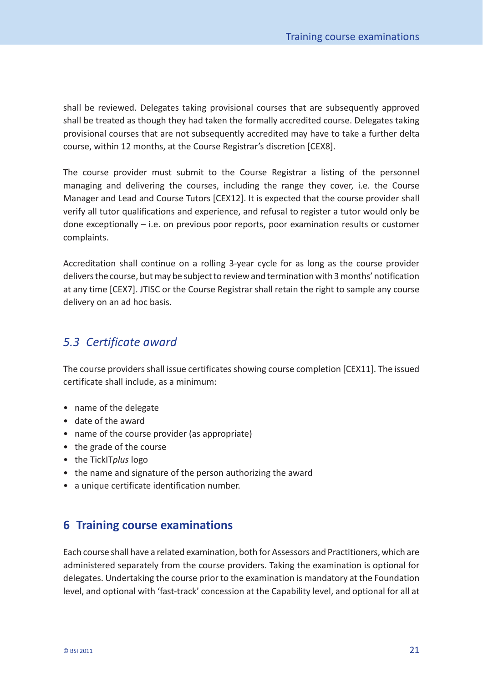<span id="page-21-0"></span>shall be reviewed. Delegates taking provisional courses that are subsequently approved shall be treated as though they had taken the formally accredited course. Delegates taking provisional courses that are not subsequently accredited may have to take a further delta course, within 12 months, at the Course Registrar's discretion [CEX8].

The course provider must submit to the Course Registrar a listing of the personnel managing and delivering the courses, including the range they cover, i.e. the Course Manager and Lead and Course Tutors [CEX12]. It is expected that the course provider shall verify all tutor qualifications and experience, and refusal to register a tutor would only be done exceptionally – i.e. on previous poor reports, poor examination results or customer complaints.

Accreditation shall continue on a rolling 3-year cycle for as long as the course provider delivers the course, but may be subject to review and termination with 3 months' notification at any time [CEX7]. JTISC or the Course Registrar shall retain the right to sample any course delivery on an ad hoc basis.

# *5.3 Certificate award*

The course providers shall issue certificates showing course completion [CEX11]. The issued certificate shall include, as a minimum:

- name of the delegate
- date of the award
- name of the course provider (as appropriate)
- the grade of the course
- the TickIT*plus* logo
- the name and signature of the person authorizing the award
- a unique certificate identification number.

# **6 Training course examinations**

Each course shall have a related examination, both for Assessors and Practitioners, which are administered separately from the course providers. Taking the examination is optional for delegates. Undertaking the course prior to the examination is mandatory at the Foundation level, and optional with 'fast-track' concession at the Capability level, and optional for all at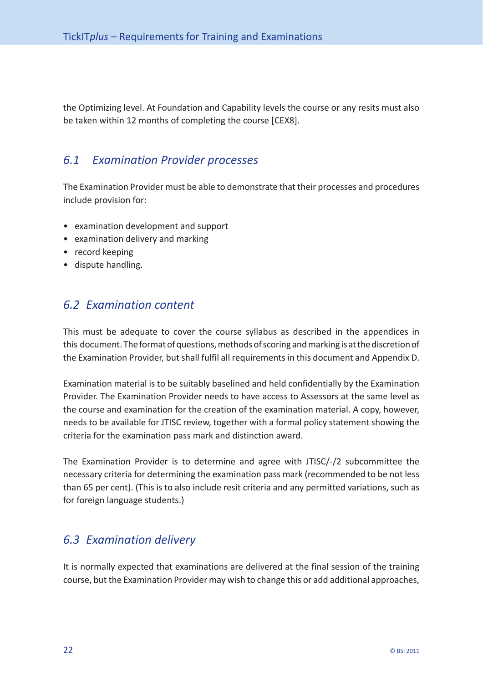<span id="page-22-0"></span>the Optimizing level. At Foundation and Capability levels the course or any resits must also be taken within 12 months of completing the course [CEX8].

# *6.1 Examination Provider processes*

The Examination Provider must be able to demonstrate that their processes and procedures include provision for:

- examination development and support
- examination delivery and marking
- record keeping
- dispute handling.

# *6.2 Examination content*

This must be adequate to cover the course syllabus as described in the appendices in this document. The format of questions, methods of scoring and marking is at the discretion of the Examination Provider, but shall fulfil all requirements in this document and Appendix D.

Examination material is to be suitably baselined and held confidentially by the Examination Provider. The Examination Provider needs to have access to Assessors at the same level as the course and examination for the creation of the examination material. A copy, however, needs to be available for JTISC review, together with a formal policy statement showing the criteria for the examination pass mark and distinction award.

The Examination Provider is to determine and agree with JTISC/-/2 subcommittee the necessary criteria for determining the examination pass mark (recommended to be not less than 65 per cent). (This is to also include resit criteria and any permitted variations, such as for foreign language students.)

# *6.3 Examination delivery*

It is normally expected that examinations are delivered at the final session of the training course, but the Examination Provider may wish to change this or add additional approaches,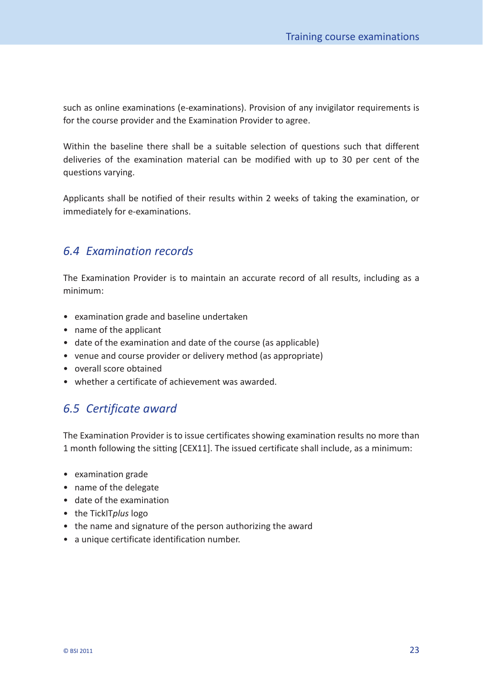<span id="page-23-0"></span>such as online examinations (e-examinations). Provision of any invigilator requirements is for the course provider and the Examination Provider to agree.

Within the baseline there shall be a suitable selection of questions such that different deliveries of the examination material can be modified with up to 30 per cent of the questions varying.

Applicants shall be notified of their results within 2 weeks of taking the examination, or immediately for e-examinations.

# *6.4 Examination records*

The Examination Provider is to maintain an accurate record of all results, including as a minimum:

- examination grade and baseline undertaken
- name of the applicant
- date of the examination and date of the course (as applicable)
- venue and course provider or delivery method (as appropriate)
- overall score obtained
- whether a certificate of achievement was awarded.

# *6.5 Certificate award*

The Examination Provider is to issue certificates showing examination results no more than 1 month following the sitting [CEX11]. The issued certificate shall include, as a minimum:

- examination grade
- name of the delegate
- date of the examination
- the TickIT*plus* logo
- the name and signature of the person authorizing the award
- a unique certificate identification number.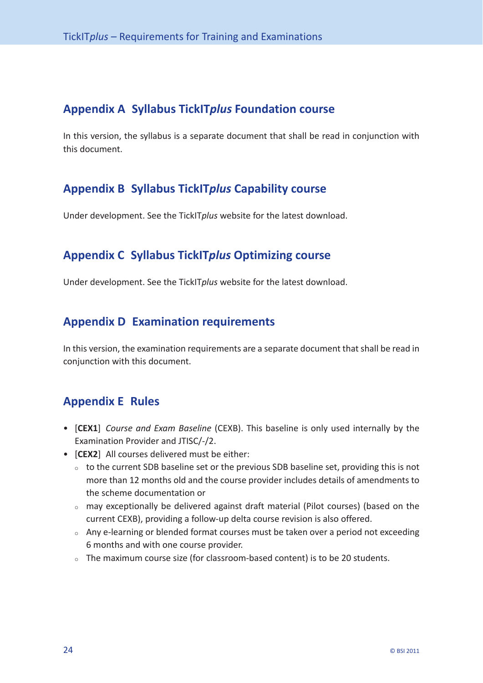# <span id="page-24-0"></span>**Appendix A Syllabus TickIT***plus* **Foundation course**

In this version, the syllabus is a separate document that shall be read in conjunction with this document.

# **Appendix B Syllabus TickIT***plus* **Capability course**

Under development. See the TickIT*plus* website for the latest download.

# **Appendix C Syllabus TickIT***plus* **Optimizing course**

Under development. See the TickIT*plus* website for the latest download.

# **Appendix D Examination requirements**

In this version, the examination requirements are a separate document that shall be read in conjunction with this document.

# **Appendix E Rules**

- [**CEX1**] *Course and Exam Baseline* (CEXB). This baseline is only used internally by the Examination Provider and JTISC/-/2.
- [**CEX2**] All courses delivered must be either:
	- $\circ$  to the current SDB baseline set or the previous SDB baseline set, providing this is not more than 12 months old and the course provider includes details of amendments to the scheme documentation or
	- $\circ$  may exceptionally be delivered against draft material (Pilot courses) (based on the current CEXB), providing a follow-up delta course revision is also offered.
	- $\circ$  Any e-learning or blended format courses must be taken over a period not exceeding 6 months and with one course provider.
	- $\circ$  The maximum course size (for classroom-based content) is to be 20 students.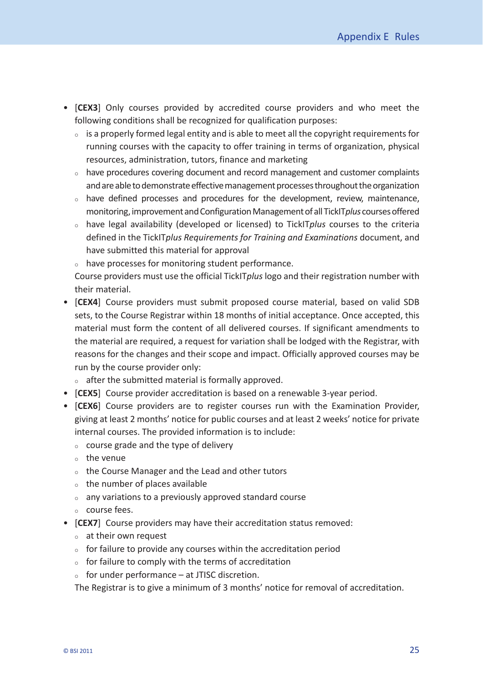- [**CEX3**] Only courses provided by accredited course providers and who meet the following conditions shall be recognized for qualification purposes:
	- $\circ$  is a properly formed legal entity and is able to meet all the copyright requirements for running courses with the capacity to offer training in terms of organization, physical resources, administration, tutors, finance and marketing
	- $\circ$  have procedures covering document and record management and customer complaints and are able to demonstrate effective management processes throughout the organization
	- $\circ$  have defined processes and procedures for the development, review, maintenance, monitoring, improvement and Configuration Management of all TickIT*plus* courses offered
	- ` have legal availability (developed or licensed) to TickIT*plus* courses to the criteria defined in the TickIT*plus Requirements for Training and Examinations* document, and have submitted this material for approval
	- $\circ$  have processes for monitoring student performance.

 Course providers must use the official TickIT*plus* logo and their registration number with their material.

- [**CEX4**] Course providers must submit proposed course material, based on valid SDB sets, to the Course Registrar within 18 months of initial acceptance. Once accepted, this material must form the content of all delivered courses. If significant amendments to the material are required, a request for variation shall be lodged with the Registrar, with reasons for the changes and their scope and impact. Officially approved courses may be run by the course provider only:
	- $\circ$  after the submitted material is formally approved.
- [**CEX5**] Course provider accreditation is based on a renewable 3-year period.
- [**CEX6**] Course providers are to register courses run with the Examination Provider, giving at least 2 months' notice for public courses and at least 2 weeks' notice for private internal courses. The provided information is to include:
	- $\circ$  course grade and the type of delivery
	- $\circ$  the venue
	- $\circ$  the Course Manager and the Lead and other tutors
	- $\circ$  the number of places available
	- $\circ$  any variations to a previously approved standard course
	- $\circ$  course fees.
- [**CEX7**] Course providers may have their accreditation status removed:
	- $\circ$  at their own request
	- $\circ$  for failure to provide any courses within the accreditation period
	- $\circ$  for failure to comply with the terms of accreditation
	- $\circ$  for under performance at JTISC discretion.

The Registrar is to give a minimum of 3 months' notice for removal of accreditation.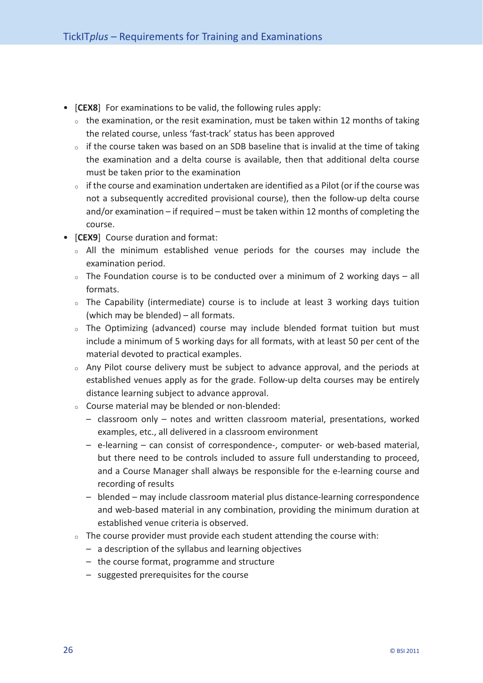- [**CEX8**] For examinations to be valid, the following rules apply:
	- $\circ$  the examination, or the resit examination, must be taken within 12 months of taking the related course, unless 'fast- track' status has been approved
	- $\circ$  if the course taken was based on an SDB baseline that is invalid at the time of taking the examination and a delta course is available, then that additional delta course must be taken prior to the examination
	- $\circ$  if the course and examination undertaken are identified as a Pilot (or if the course was not a subsequently accredited provisional course), then the follow-up delta course and/or examination – if required – must be taken within 12 months of completing the course.
- [**CEX9**] Course duration and format:
	- $\circ$  All the minimum established venue periods for the courses may include the examination period.
	- $\circ$  The Foundation course is to be conducted over a minimum of 2 working days all formats.
	- $\circ$  The Capability (intermediate) course is to include at least 3 working days tuition (which may be blended) – all formats.
	- $\circ$  The Optimizing (advanced) course may include blended format tuition but must include a minimum of 5 working days for all formats, with at least 50 per cent of the material devoted to practical examples.
	- $\circ$  Any Pilot course delivery must be subject to advance approval, and the periods at established venues apply as for the grade. Follow-up delta courses may be entirely distance learning subject to advance approval.
	- $\circ$  Course material may be blended or non-blended:
		- classroom only notes and written classroom material, presentations, worked examples, etc., all delivered in a classroom environment
		- $-$  e-learning  $-$  can consist of correspondence-, computer- or web-based material, but there need to be controls included to assure full understanding to proceed, and a Course Manager shall always be responsible for the e- learning course and recording of results
		- blended may include classroom material plus distance- learning correspondence and web-based material in any combination, providing the minimum duration at established venue criteria is observed.
	- $\circ$  The course provider must provide each student attending the course with:
		- a description of the syllabus and learning objectives
		- the course format, programme and structure
		- suggested prerequisites for the course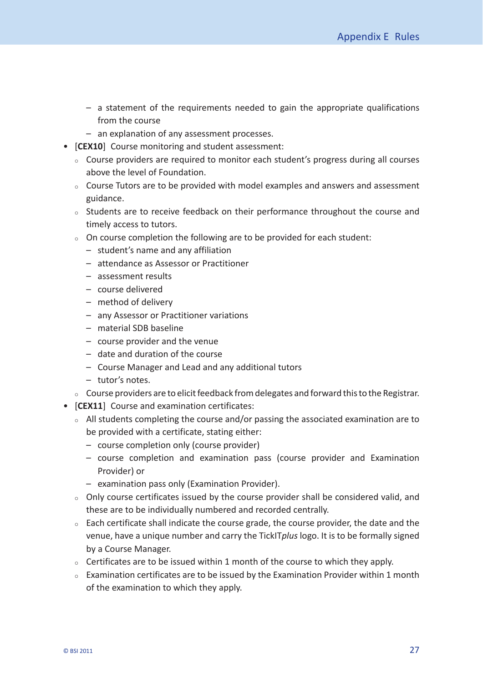- a statement of the requirements needed to gain the appropriate qualifications from the course
- an explanation of any assessment processes.
- [**CEX10**] Course monitoring and student assessment:
	- $\circ$  Course providers are required to monitor each student's progress during all courses above the level of Foundation.
	- $\circ$  Course Tutors are to be provided with model examples and answers and assessment guidance.
	- $\circ$  Students are to receive feedback on their performance throughout the course and timely access to tutors.
	- $\circ$  On course completion the following are to be provided for each student:
		- student's name and any affiliation
		- attendance as Assessor or Practitioner
		- assessment results
		- course delivered
		- method of delivery
		- any Assessor or Practitioner variations
		- material SDB baseline
		- course provider and the venue
		- date and duration of the course
		- Course Manager and Lead and any additional tutors
		- tutor's notes.
	- $\circ$   $\,$  Course providers are to elicit feedback from delegates and forward this to the Registrar.
- [**CEX11**] Course and examination certificates:
	- $\circ$  All students completing the course and/or passing the associated examination are to be provided with a certificate, stating either:
		- course completion only (course provider)
		- course completion and examination pass (course provider and Examination Provider) or
		- examination pass only (Examination Provider).
	- $\circ$  Only course certificates issued by the course provider shall be considered valid, and these are to be individually numbered and recorded centrally.
	- $\circ$  Each certificate shall indicate the course grade, the course provider, the date and the venue, have a unique number and carry the TickIT*plus* logo. It is to be formally signed by a Course Manager.
	- $\circ$  Certificates are to be issued within 1 month of the course to which they apply.
	- $\circ$  Examination certificates are to be issued by the Examination Provider within 1 month of the examination to which they apply.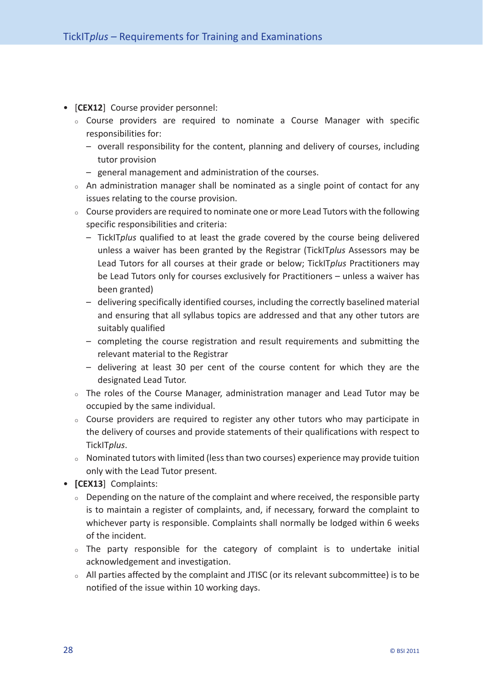- [**CEX12**] Course provider personnel:
	- $\circ$  Course providers are required to nominate a Course Manager with specific responsibilities for:
		- overall responsibility for the content, planning and delivery of courses, including tutor provision
		- general management and administration of the courses.
	- $\circ$  An administration manager shall be nominated as a single point of contact for any issues relating to the course provision.
	- $\circ$  Course providers are required to nominate one or more Lead Tutors with the following specific responsibilities and criteria:
		- TickIT*plus* qualified to at least the grade covered by the course being delivered unless a waiver has been granted by the Registrar (TickIT*plus* Assessors may be Lead Tutors for all courses at their grade or below; TickIT*plus* Practitioners may be Lead Tutors only for courses exclusively for Practitioners – unless a waiver has been granted)
		- delivering specifically identified courses, including the correctly baselined material and ensuring that all syllabus topics are addressed and that any other tutors are suitably qualified
		- completing the course registration and result requirements and submitting the relevant material to the Registrar
		- delivering at least 30 per cent of the course content for which they are the designated Lead Tutor.
	- $\circ$  The roles of the Course Manager, administration manager and Lead Tutor may be occupied by the same individual.
	- $\circ$  Course providers are required to register any other tutors who may participate in the delivery of courses and provide statements of their qualifications with respect to TickIT*plus*.
	- $\circ$  Nominated tutors with limited (less than two courses) experience may provide tuition only with the Lead Tutor present.
- **[CEX13**] Complaints:
	- $\circ$  Depending on the nature of the complaint and where received, the responsible party is to maintain a register of complaints, and, if necessary, forward the complaint to whichever party is responsible. Complaints shall normally be lodged within 6 weeks of the incident.
	- $\circ$  The party responsible for the category of complaint is to undertake initial acknowledgement and investigation.
	- $\circ$  All parties affected by the complaint and JTISC (or its relevant subcommittee) is to be notified of the issue within 10 working days.